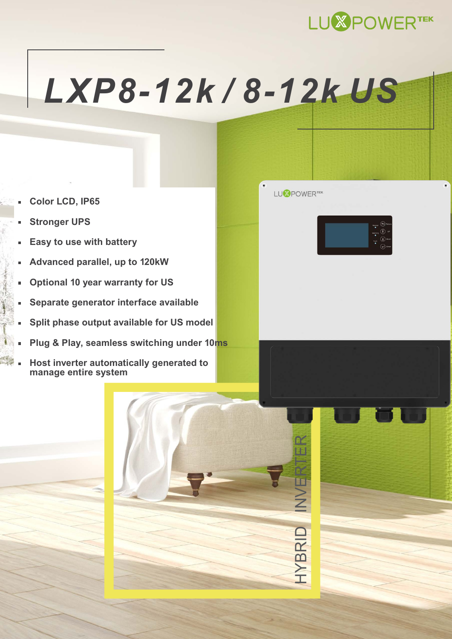

## *[LXP8-12k / 8-12k US](https://sp-energy.co.za/product-category/inverters/inverter-brands/luxpower/)*

- **Color LCD, IP65**
- **Stronger UPS**
- **Easy to use with battery** Ė
- **Advanced parallel, up to 120kW**
- **Optional 10 year warranty for US**
- **Separate generator interface available**
- **Split phase output available for US model**
- **Plug & Play, seamless switching under 10ms**
- **Host inverter automatically generated to manage entire system**



HYBRID INVERTER

**INVER** 

HYBRID